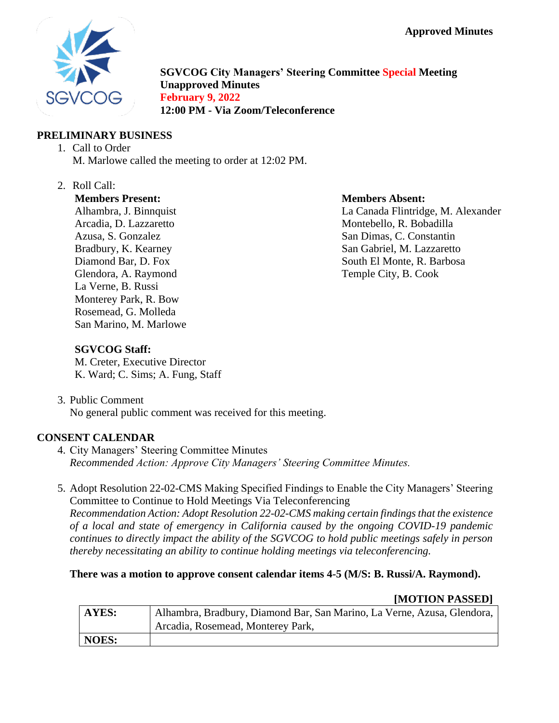

**SGVCOG City Managers' Steering Committee Special Meeting Unapproved Minutes February 9, 2022 12:00 PM - Via Zoom/Teleconference**

## **PRELIMINARY BUSINESS**

- 1. Call to Order M. Marlowe called the meeting to order at 12:02 PM.
- 2. Roll Call:

#### **Members Present:**

Alhambra, J. Binnquist Arcadia, D. Lazzaretto Azusa, S. Gonzalez Bradbury, K. Kearney Diamond Bar, D. Fox Glendora, A. Raymond La Verne, B. Russi Monterey Park, R. Bow Rosemead, G. Molleda San Marino, M. Marlowe

#### **Members Absent:**

La Canada Flintridge, M. Alexander Montebello, R. Bobadilla San Dimas, C. Constantin San Gabriel, M. Lazzaretto South El Monte, R. Barbosa Temple City, B. Cook

### **SGVCOG Staff:**

M. Creter, Executive Director K. Ward; C. Sims; A. Fung, Staff

3. Public Comment No general public comment was received for this meeting.

## **CONSENT CALENDAR**

- 4. City Managers' Steering Committee Minutes *Recommended Action: Approve City Managers' Steering Committee Minutes.*
- 5. Adopt Resolution 22-02-CMS Making Specified Findings to Enable the City Managers' Steering Committee to Continue to Hold Meetings Via Teleconferencing

*Recommendation Action: Adopt Resolution 22-02-CMS making certain findings that the existence of a local and state of emergency in California caused by the ongoing COVID-19 pandemic continues to directly impact the ability of the SGVCOG to hold public meetings safely in person thereby necessitating an ability to continue holding meetings via teleconferencing.*

### **There was a motion to approve consent calendar items 4-5 (M/S: B. Russi/A. Raymond).**

### **[MOTION PASSED]**

| AYES: | Alhambra, Bradbury, Diamond Bar, San Marino, La Verne, Azusa, Glendora, |
|-------|-------------------------------------------------------------------------|
|       | Arcadia, Rosemead, Monterey Park,                                       |
| NOES: |                                                                         |